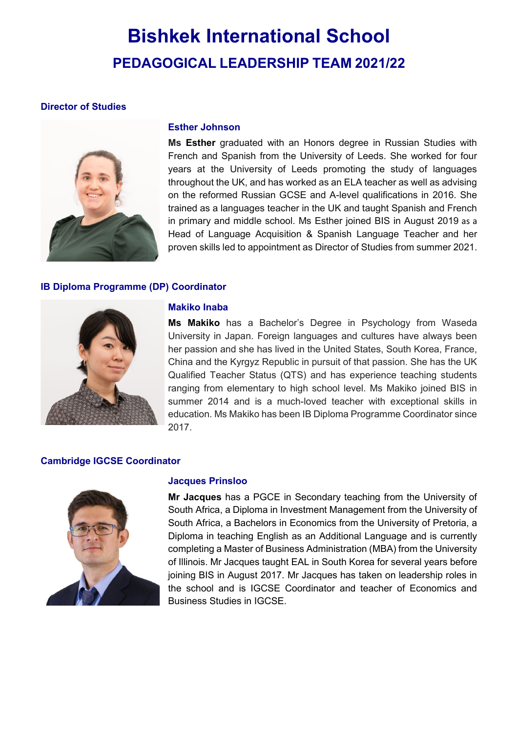# **Bishkek International School PEDAGOGICAL LEADERSHIP TEAM 2021/22**

# **Director of Studies**



## **Esther Johnson**

**Ms Esther** graduated with an Honors degree in Russian Studies with French and Spanish from the University of Leeds. She worked for four years at the University of Leeds promoting the study of languages throughout the UK, and has worked as an ELA teacher as well as advising on the reformed Russian GCSE and A-level qualifications in 2016. She trained as a languages teacher in the UK and taught Spanish and French in primary and middle school. Ms Esther joined BIS in August 2019 as a Head of Language Acquisition & Spanish Language Teacher and her proven skills led to appointment as Director of Studies from summer 2021.

## **IB Diploma Programme (DP) Coordinator**



## **Makiko Inaba**

**Ms Makiko** has a Bachelor's Degree in Psychology from Waseda University in Japan. Foreign languages and cultures have always been her passion and she has lived in the United States, South Korea, France, China and the Kyrgyz Republic in pursuit of that passion. She has the UK Qualified Teacher Status (QTS) and has experience teaching students ranging from elementary to high school level. Ms Makiko joined BIS in summer 2014 and is a much-loved teacher with exceptional skills in education. Ms Makiko has been IB Diploma Programme Coordinator since 2017.

## **Cambridge IGCSE Coordinator**



## **Jacques Prinsloo**

**Mr Jacques** has a PGCE in Secondary teaching from the University of South Africa, a Diploma in Investment Management from the University of South Africa, a Bachelors in Economics from the University of Pretoria, a Diploma in teaching English as an Additional Language and is currently completing a Master of Business Administration (MBA) from the University of Illinois. Mr Jacques taught EAL in South Korea for several years before joining BIS in August 2017. Mr Jacques has taken on leadership roles in the school and is IGCSE Coordinator and teacher of Economics and Business Studies in IGCSE.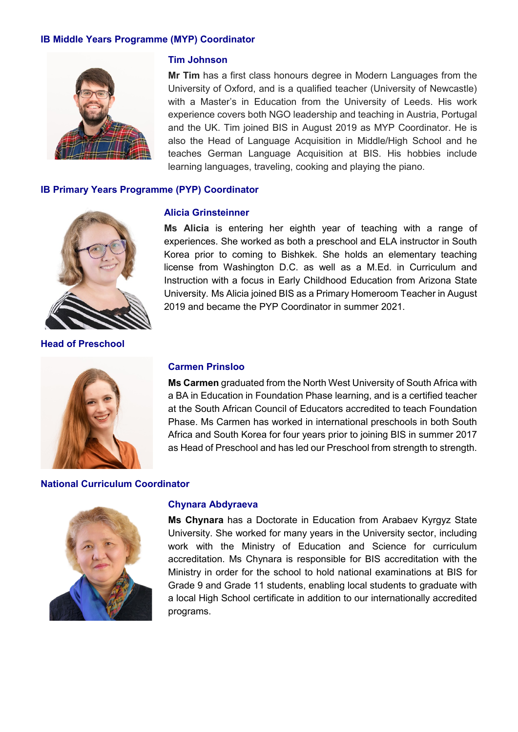## **IB Middle Years Programme (MYP) Coordinator**



## **Tim Johnson**

**Mr Tim** has a first class honours degree in Modern Languages from the University of Oxford, and is a qualified teacher (University of Newcastle) with a Master's in Education from the University of Leeds. His work experience covers both NGO leadership and teaching in Austria, Portugal and the UK. Tim joined BIS in August 2019 as MYP Coordinator. He is also the Head of Language Acquisition in Middle/High School and he teaches German Language Acquisition at BIS. His hobbies include learning languages, traveling, cooking and playing the piano.

## **IB Primary Years Programme (PYP) Coordinator**



**Head of Preschool**

#### **Alicia Grinsteinner**

**Ms Alicia** is entering her eighth year of teaching with a range of experiences. She worked as both a preschool and ELA instructor in South Korea prior to coming to Bishkek. She holds an elementary teaching license from Washington D.C. as well as a M.Ed. in Curriculum and Instruction with a focus in Early Childhood Education from Arizona State University. Ms Alicia joined BIS as a Primary Homeroom Teacher in August 2019 and became the PYP Coordinator in summer 2021.



## **Carmen Prinsloo**

**Ms Carmen** graduated from the North West University of South Africa with a BA in Education in Foundation Phase learning, and is a certified teacher at the South African Council of Educators accredited to teach Foundation Phase. Ms Carmen has worked in international preschools in both South Africa and South Korea for four years prior to joining BIS in summer 2017 as Head of Preschool and has led our Preschool from strength to strength.

## **National Curriculum Coordinator**



#### **Chynara Abdyraeva**

**Ms Chynara** has a Doctorate in Education from Arabaev Kyrgyz State University. She worked for many years in the University sector, including work with the Ministry of Education and Science for curriculum accreditation. Ms Chynara is responsible for BIS accreditation with the Ministry in order for the school to hold national examinations at BIS for Grade 9 and Grade 11 students, enabling local students to graduate with a local High School certificate in addition to our internationally accredited programs.